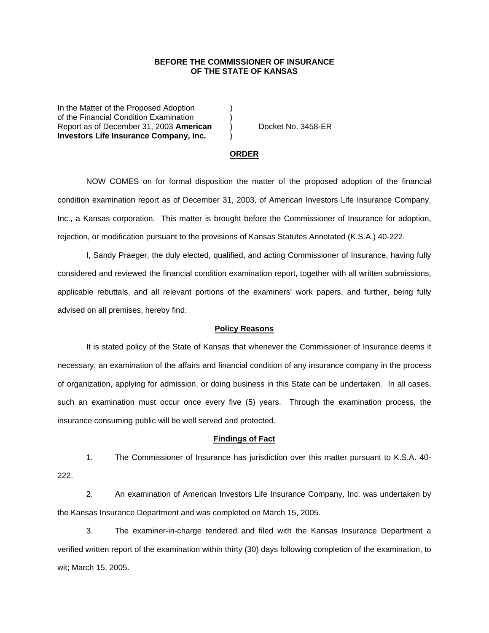## **BEFORE THE COMMISSIONER OF INSURANCE OF THE STATE OF KANSAS**

In the Matter of the Proposed Adoption of the Financial Condition Examination ) Report as of December 31, 2003 **American** ) Docket No. 3458-ER **Investors Life Insurance Company, Inc.** )

#### **ORDER**

 NOW COMES on for formal disposition the matter of the proposed adoption of the financial condition examination report as of December 31, 2003, of American Investors Life Insurance Company, Inc., a Kansas corporation. This matter is brought before the Commissioner of Insurance for adoption, rejection, or modification pursuant to the provisions of Kansas Statutes Annotated (K.S.A.) 40-222.

 I, Sandy Praeger, the duly elected, qualified, and acting Commissioner of Insurance, having fully considered and reviewed the financial condition examination report, together with all written submissions, applicable rebuttals, and all relevant portions of the examiners' work papers, and further, being fully advised on all premises, hereby find:

### **Policy Reasons**

 It is stated policy of the State of Kansas that whenever the Commissioner of Insurance deems it necessary, an examination of the affairs and financial condition of any insurance company in the process of organization, applying for admission, or doing business in this State can be undertaken. In all cases, such an examination must occur once every five (5) years. Through the examination process, the insurance consuming public will be well served and protected.

### **Findings of Fact**

 1. The Commissioner of Insurance has jurisdiction over this matter pursuant to K.S.A. 40- 222.

 2. An examination of American Investors Life Insurance Company, Inc. was undertaken by the Kansas Insurance Department and was completed on March 15, 2005.

 3. The examiner-in-charge tendered and filed with the Kansas Insurance Department a verified written report of the examination within thirty (30) days following completion of the examination, to wit; March 15, 2005.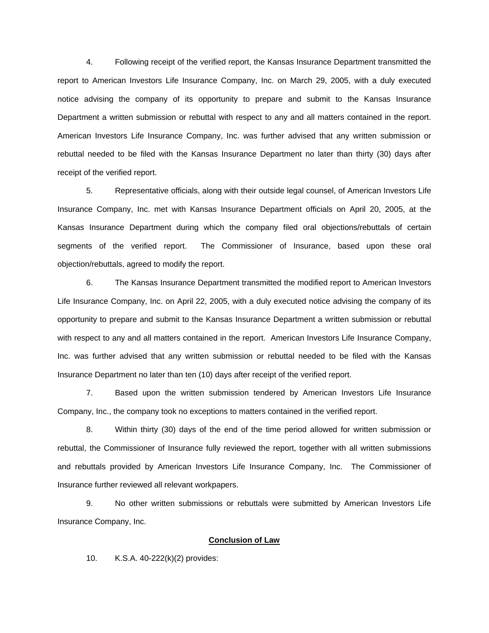4. Following receipt of the verified report, the Kansas Insurance Department transmitted the report to American Investors Life Insurance Company, Inc. on March 29, 2005, with a duly executed notice advising the company of its opportunity to prepare and submit to the Kansas Insurance Department a written submission or rebuttal with respect to any and all matters contained in the report. American Investors Life Insurance Company, Inc. was further advised that any written submission or rebuttal needed to be filed with the Kansas Insurance Department no later than thirty (30) days after receipt of the verified report.

 5. Representative officials, along with their outside legal counsel, of American Investors Life Insurance Company, Inc. met with Kansas Insurance Department officials on April 20, 2005, at the Kansas Insurance Department during which the company filed oral objections/rebuttals of certain segments of the verified report. The Commissioner of Insurance, based upon these oral objection/rebuttals, agreed to modify the report.

 6. The Kansas Insurance Department transmitted the modified report to American Investors Life Insurance Company, Inc. on April 22, 2005, with a duly executed notice advising the company of its opportunity to prepare and submit to the Kansas Insurance Department a written submission or rebuttal with respect to any and all matters contained in the report. American Investors Life Insurance Company, Inc. was further advised that any written submission or rebuttal needed to be filed with the Kansas Insurance Department no later than ten (10) days after receipt of the verified report.

 7. Based upon the written submission tendered by American Investors Life Insurance Company, Inc., the company took no exceptions to matters contained in the verified report.

 8. Within thirty (30) days of the end of the time period allowed for written submission or rebuttal, the Commissioner of Insurance fully reviewed the report, together with all written submissions and rebuttals provided by American Investors Life Insurance Company, Inc. The Commissioner of Insurance further reviewed all relevant workpapers.

 9. No other written submissions or rebuttals were submitted by American Investors Life Insurance Company, Inc.

#### **Conclusion of Law**

10. K.S.A. 40-222(k)(2) provides: